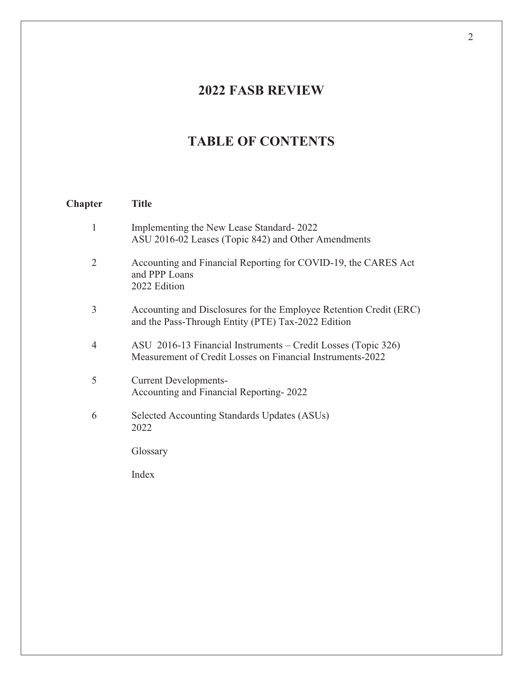## **2022 FASB REVIEW**

## **TABLE OF CONTENTS**

## **Chapter Title**  1 Implementing the New Lease Standard- 2022 ASU 2016-02 Leases (Topic 842) and Other Amendments 2 Accounting and Financial Reporting for COVID-19, the CARES Act and PPP Loans 2022 Edition 3 Accounting and Disclosures for the Employee Retention Credit (ERC) and the Pass-Through Entity (PTE) Tax-2022 Edition 4 ASU 2016-13 Financial Instruments – Credit Losses (Topic 326) Measurement of Credit Losses on Financial Instruments-2022 5 Current Developments-Accounting and Financial Reporting- 2022 6 Selected Accounting Standards Updates (ASUs) 2022 Glossary Index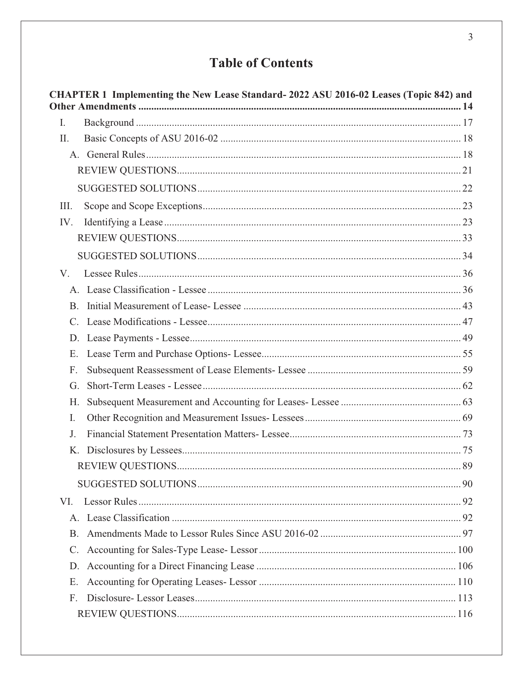## **Table of Contents**

|                 | CHAPTER 1 Implementing the New Lease Standard-2022 ASU 2016-02 Leases (Topic 842) and |  |
|-----------------|---------------------------------------------------------------------------------------|--|
| I.              |                                                                                       |  |
| II.             |                                                                                       |  |
|                 |                                                                                       |  |
|                 |                                                                                       |  |
|                 |                                                                                       |  |
| III.            |                                                                                       |  |
| IV.             |                                                                                       |  |
|                 |                                                                                       |  |
|                 |                                                                                       |  |
| V.              |                                                                                       |  |
|                 |                                                                                       |  |
| <b>B.</b>       |                                                                                       |  |
| $C_{\cdot}$     |                                                                                       |  |
| D.              |                                                                                       |  |
| E.              |                                                                                       |  |
| F.              |                                                                                       |  |
| G.              |                                                                                       |  |
| H.              |                                                                                       |  |
| I.              |                                                                                       |  |
| J.              |                                                                                       |  |
| K.              |                                                                                       |  |
|                 |                                                                                       |  |
|                 |                                                                                       |  |
| VI.             |                                                                                       |  |
|                 |                                                                                       |  |
| <b>B.</b>       |                                                                                       |  |
| $\mathcal{C}$ . |                                                                                       |  |
| D.              |                                                                                       |  |
| Ε.              |                                                                                       |  |
| F.              |                                                                                       |  |
|                 |                                                                                       |  |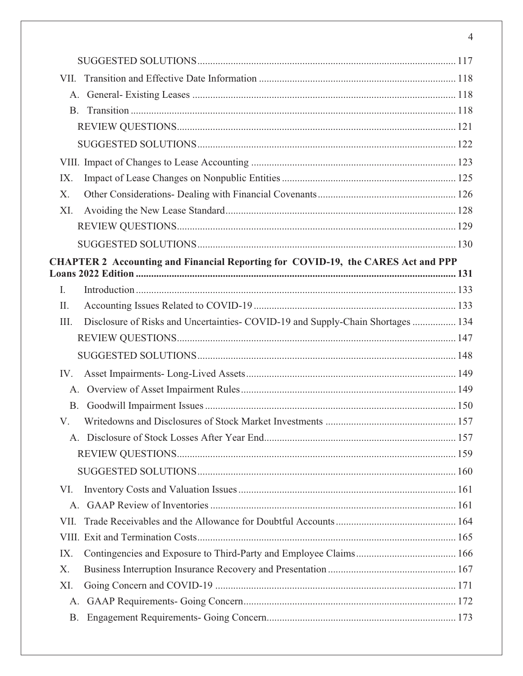| VII.      |                                                                                         |  |
|-----------|-----------------------------------------------------------------------------------------|--|
| A.        |                                                                                         |  |
| <b>B.</b> |                                                                                         |  |
|           |                                                                                         |  |
|           |                                                                                         |  |
|           |                                                                                         |  |
| IX.       |                                                                                         |  |
| X.        |                                                                                         |  |
| XI.       |                                                                                         |  |
|           |                                                                                         |  |
|           |                                                                                         |  |
|           | <b>CHAPTER 2 Accounting and Financial Reporting for COVID-19, the CARES Act and PPP</b> |  |
|           |                                                                                         |  |
| I.<br>II. |                                                                                         |  |
| III.      | Disclosure of Risks and Uncertainties- COVID-19 and Supply-Chain Shortages  134         |  |
|           |                                                                                         |  |
|           |                                                                                         |  |
| IV.       |                                                                                         |  |
| A.        |                                                                                         |  |
| B.        |                                                                                         |  |
| V.        |                                                                                         |  |
|           |                                                                                         |  |
|           |                                                                                         |  |
|           |                                                                                         |  |
| VI.       |                                                                                         |  |
|           |                                                                                         |  |
| VII.      |                                                                                         |  |
|           |                                                                                         |  |
| IX.       |                                                                                         |  |
| X.        |                                                                                         |  |
| XI.       |                                                                                         |  |
| A.        |                                                                                         |  |
| <b>B.</b> |                                                                                         |  |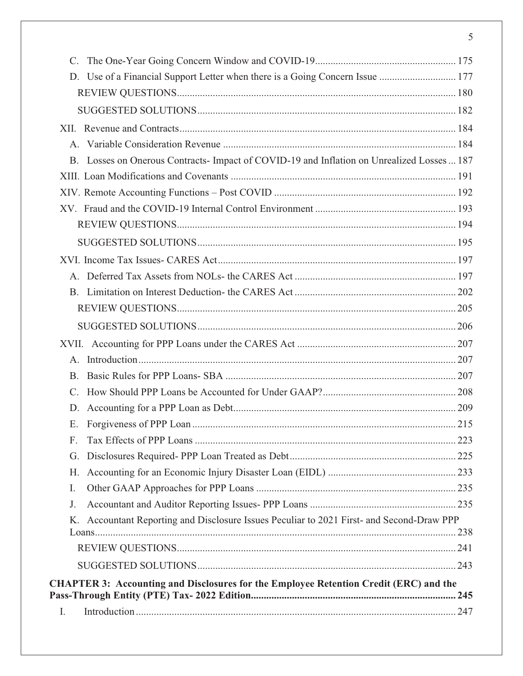| D. Use of a Financial Support Letter when there is a Going Concern Issue  177                |  |
|----------------------------------------------------------------------------------------------|--|
|                                                                                              |  |
|                                                                                              |  |
|                                                                                              |  |
|                                                                                              |  |
| B. Losses on Onerous Contracts-Impact of COVID-19 and Inflation on Unrealized Losses  187    |  |
|                                                                                              |  |
|                                                                                              |  |
|                                                                                              |  |
|                                                                                              |  |
|                                                                                              |  |
|                                                                                              |  |
| $A_{-}$                                                                                      |  |
|                                                                                              |  |
|                                                                                              |  |
|                                                                                              |  |
|                                                                                              |  |
| $A_{-}$                                                                                      |  |
| $\mathbf{B}$ .                                                                               |  |
| $\mathcal{C}$ .                                                                              |  |
| D.                                                                                           |  |
|                                                                                              |  |
| F.                                                                                           |  |
| G.                                                                                           |  |
| Н.                                                                                           |  |
| I.                                                                                           |  |
| J.                                                                                           |  |
| Accountant Reporting and Disclosure Issues Peculiar to 2021 First- and Second-Draw PPP<br>Κ. |  |
|                                                                                              |  |
|                                                                                              |  |
|                                                                                              |  |
| <b>CHAPTER 3: Accounting and Disclosures for the Employee Retention Credit (ERC) and the</b> |  |
| $I_{\cdot}$                                                                                  |  |
|                                                                                              |  |

5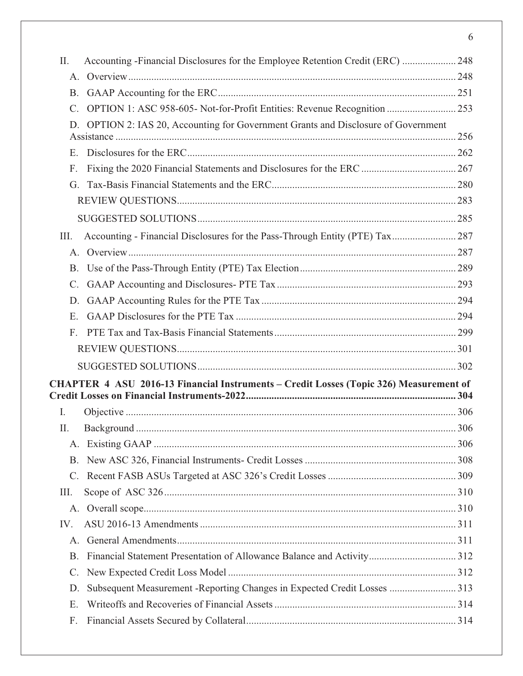| II.             | Accounting - Financial Disclosures for the Employee Retention Credit (ERC)  248        |  |
|-----------------|----------------------------------------------------------------------------------------|--|
|                 |                                                                                        |  |
| <b>B.</b>       |                                                                                        |  |
| $\mathcal{C}$ . | OPTION 1: ASC 958-605- Not-for-Profit Entities: Revenue Recognition  253               |  |
| D.              | OPTION 2: IAS 20, Accounting for Government Grants and Disclosure of Government        |  |
|                 |                                                                                        |  |
| Ε.              |                                                                                        |  |
| F.              |                                                                                        |  |
| G.              |                                                                                        |  |
|                 |                                                                                        |  |
|                 |                                                                                        |  |
| III.            |                                                                                        |  |
|                 |                                                                                        |  |
| <b>B.</b>       |                                                                                        |  |
| $\mathcal{C}$ . |                                                                                        |  |
| D.              |                                                                                        |  |
| Ε.              |                                                                                        |  |
| F.              |                                                                                        |  |
|                 |                                                                                        |  |
|                 |                                                                                        |  |
|                 | CHAPTER 4 ASU 2016-13 Financial Instruments – Credit Losses (Topic 326) Measurement of |  |
| I.              |                                                                                        |  |
| П.              |                                                                                        |  |
| A.              |                                                                                        |  |
| B.              |                                                                                        |  |
| $C_{\cdot}$     |                                                                                        |  |
| III.            |                                                                                        |  |
|                 |                                                                                        |  |
| IV.             |                                                                                        |  |
| A.              |                                                                                        |  |
| <b>B.</b>       |                                                                                        |  |
| $C_{\cdot}$     |                                                                                        |  |
| D.              | Subsequent Measurement -Reporting Changes in Expected Credit Losses  313               |  |
| Ε.              |                                                                                        |  |
| F.              |                                                                                        |  |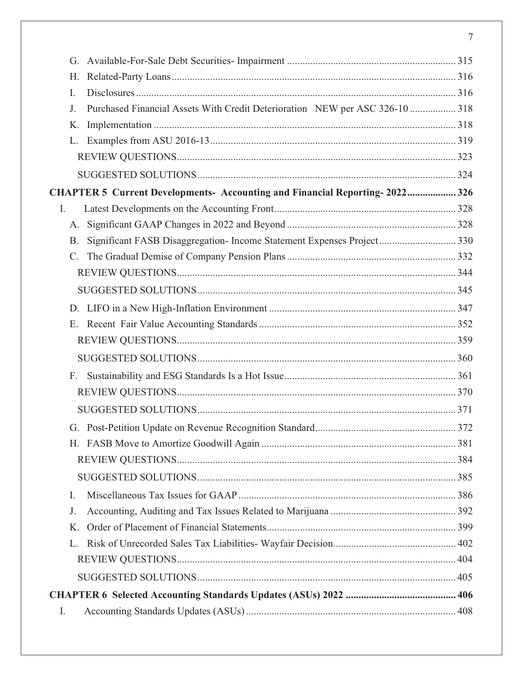| G.                                                                                 |  |
|------------------------------------------------------------------------------------|--|
| Η.                                                                                 |  |
| I.                                                                                 |  |
| Purchased Financial Assets With Credit Deterioration NEW per ASC 326-10  318<br>J. |  |
| K.                                                                                 |  |
| L.                                                                                 |  |
|                                                                                    |  |
|                                                                                    |  |
| CHAPTER 5 Current Developments- Accounting and Financial Reporting-2022 326        |  |
| Ι.                                                                                 |  |
| A.                                                                                 |  |
| <b>B.</b>                                                                          |  |
| $\mathcal{C}$ .                                                                    |  |
|                                                                                    |  |
|                                                                                    |  |
|                                                                                    |  |
|                                                                                    |  |
|                                                                                    |  |
|                                                                                    |  |
| F.                                                                                 |  |
|                                                                                    |  |
|                                                                                    |  |
|                                                                                    |  |
|                                                                                    |  |
|                                                                                    |  |
|                                                                                    |  |
| I.                                                                                 |  |
| J.                                                                                 |  |
| K.                                                                                 |  |
| L.                                                                                 |  |
|                                                                                    |  |
|                                                                                    |  |
|                                                                                    |  |
| I.                                                                                 |  |

 $\overline{7}$